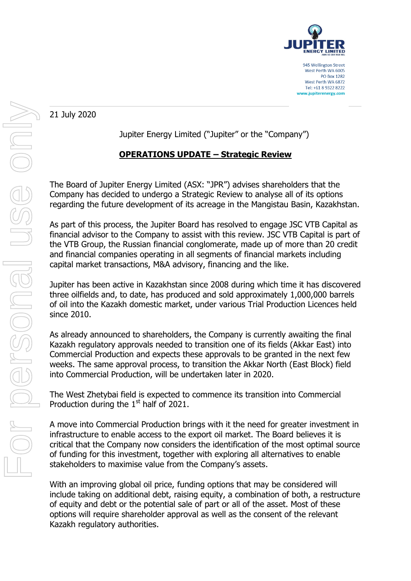

21 July 2020

Jupiter Energy Limited ("Jupiter" or the "Company")

# **OPERATIONS UPDATE – Strategic Review**

The Board of Jupiter Energy Limited (ASX: "JPR") advises shareholders that the Company has decided to undergo a Strategic Review to analyse all of its options regarding the future development of its acreage in the Mangistau Basin, Kazakhstan.

As part of this process, the Jupiter Board has resolved to engage JSC VTB Capital as financial advisor to the Company to assist with this review. JSC VTB Capital is part of the VTB Group, the Russian financial conglomerate, made up of more than 20 credit and financial companies operating in all segments of financial markets including capital market transactions, M&A advisory, financing and the like.

Jupiter has been active in Kazakhstan since 2008 during which time it has discovered three oilfields and, to date, has produced and sold approximately 1,000,000 barrels of oil into the Kazakh domestic market, under various Trial Production Licences held since 2010.

As already announced to shareholders, the Company is currently awaiting the final Kazakh regulatory approvals needed to transition one of its fields (Akkar East) into Commercial Production and expects these approvals to be granted in the next few weeks. The same approval process, to transition the Akkar North (East Block) field into Commercial Production, will be undertaken later in 2020.

The West Zhetybai field is expected to commence its transition into Commercial Production during the  $1<sup>st</sup>$  half of 2021.

A move into Commercial Production brings with it the need for greater investment in infrastructure to enable access to the export oil market. The Board believes it is critical that the Company now considers the identification of the most optimal source of funding for this investment, together with exploring all alternatives to enable stakeholders to maximise value from the Company's assets.

With an improving global oil price, funding options that may be considered will include taking on additional debt, raising equity, a combination of both, a restructure of equity and debt or the potential sale of part or all of the asset. Most of these options will require shareholder approval as well as the consent of the relevant Kazakh regulatory authorities.